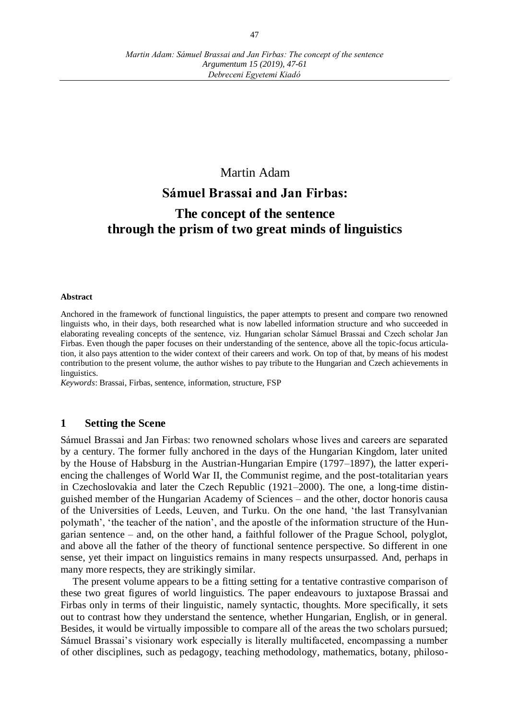# Martin Adam **Sámuel Brassai and Jan Firbas: The concept of the sentence through the prism of two great minds of linguistics**

#### **Abstract**

Anchored in the framework of functional linguistics, the paper attempts to present and compare two renowned linguists who, in their days, both researched what is now labelled information structure and who succeeded in elaborating revealing concepts of the sentence, viz. Hungarian scholar Sámuel Brassai and Czech scholar Jan Firbas. Even though the paper focuses on their understanding of the sentence, above all the topic-focus articulation, it also pays attention to the wider context of their careers and work. On top of that, by means of his modest contribution to the present volume, the author wishes to pay tribute to the Hungarian and Czech achievements in linguistics.

*Keywords*: Brassai, Firbas, sentence, information, structure, FSP

#### **1 Setting the Scene**

Sámuel Brassai and Jan Firbas: two renowned scholars whose lives and careers are separated by a century. The former fully anchored in the days of the Hungarian Kingdom, later united by the House of Habsburg in the Austrian-Hungarian Empire (1797–1897), the latter experiencing the challenges of World War II, the Communist regime, and the post-totalitarian years in Czechoslovakia and later the Czech Republic (1921–2000). The one, a long-time distinguished member of the Hungarian Academy of Sciences – and the other, doctor honoris causa of the Universities of Leeds, Leuven, and Turku. On the one hand, 'the last Transylvanian polymath', 'the teacher of the nation', and the apostle of the information structure of the Hungarian sentence – and, on the other hand, a faithful follower of the Prague School, polyglot, and above all the father of the theory of functional sentence perspective. So different in one sense, yet their impact on linguistics remains in many respects unsurpassed. And, perhaps in many more respects, they are strikingly similar.

The present volume appears to be a fitting setting for a tentative contrastive comparison of these two great figures of world linguistics. The paper endeavours to juxtapose Brassai and Firbas only in terms of their linguistic, namely syntactic, thoughts. More specifically, it sets out to contrast how they understand the sentence, whether Hungarian, English, or in general. Besides, it would be virtually impossible to compare all of the areas the two scholars pursued; Sámuel Brassai's visionary work especially is literally multifaceted, encompassing a number of other disciplines, such as pedagogy, teaching methodology, mathematics, botany, philoso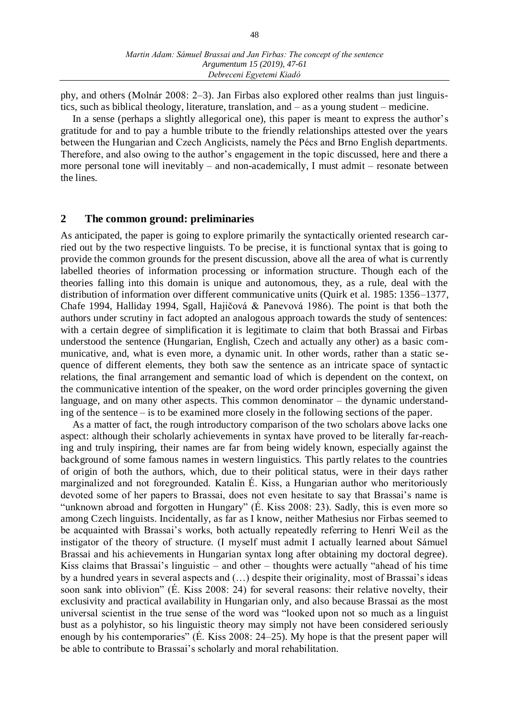phy, and others (Molnár 2008: 2–3). Jan Firbas also explored other realms than just linguistics, such as biblical theology, literature, translation, and – as a young student – medicine.

In a sense (perhaps a slightly allegorical one), this paper is meant to express the author's gratitude for and to pay a humble tribute to the friendly relationships attested over the years between the Hungarian and Czech Anglicists, namely the Pécs and Brno English departments. Therefore, and also owing to the author's engagement in the topic discussed, here and there a more personal tone will inevitably – and non-academically, I must admit – resonate between the lines.

#### **2 The common ground: preliminaries**

As anticipated, the paper is going to explore primarily the syntactically oriented research carried out by the two respective linguists. To be precise, it is functional syntax that is going to provide the common grounds for the present discussion, above all the area of what is currently labelled theories of information processing or information structure. Though each of the theories falling into this domain is unique and autonomous, they, as a rule, deal with the distribution of information over different communicative units (Quirk et al. 1985: 1356–1377, Chafe 1994, Halliday 1994, Sgall, Hajičová & Panevová 1986). The point is that both the authors under scrutiny in fact adopted an analogous approach towards the study of sentences: with a certain degree of simplification it is legitimate to claim that both Brassai and Firbas understood the sentence (Hungarian, English, Czech and actually any other) as a basic communicative, and, what is even more, a dynamic unit. In other words, rather than a static sequence of different elements, they both saw the sentence as an intricate space of syntactic relations, the final arrangement and semantic load of which is dependent on the context, on the communicative intention of the speaker, on the word order principles governing the given language, and on many other aspects. This common denominator – the dynamic understanding of the sentence – is to be examined more closely in the following sections of the paper.

As a matter of fact, the rough introductory comparison of the two scholars above lacks one aspect: although their scholarly achievements in syntax have proved to be literally far-reaching and truly inspiring, their names are far from being widely known, especially against the background of some famous names in western linguistics. This partly relates to the countries of origin of both the authors, which, due to their political status, were in their days rather marginalized and not foregrounded. Katalin É. Kiss, a Hungarian author who meritoriously devoted some of her papers to Brassai, does not even hesitate to say that Brassai's name is "unknown abroad and forgotten in Hungary" (É. Kiss 2008: 23). Sadly, this is even more so among Czech linguists. Incidentally, as far as I know, neither Mathesius nor Firbas seemed to be acquainted with Brassai's works, both actually repeatedly referring to Henri Weil as the instigator of the theory of structure. (I myself must admit I actually learned about Sámuel Brassai and his achievements in Hungarian syntax long after obtaining my doctoral degree). Kiss claims that Brassai's linguistic – and other – thoughts were actually "ahead of his time by a hundred years in several aspects and (…) despite their originality, most of Brassai's ideas soon sank into oblivion" (É. Kiss 2008: 24) for several reasons: their relative novelty, their exclusivity and practical availability in Hungarian only, and also because Brassai as the most universal scientist in the true sense of the word was "looked upon not so much as a linguist bust as a polyhistor, so his linguistic theory may simply not have been considered seriously enough by his contemporaries" (É. Kiss 2008: 24–25). My hope is that the present paper will be able to contribute to Brassai's scholarly and moral rehabilitation.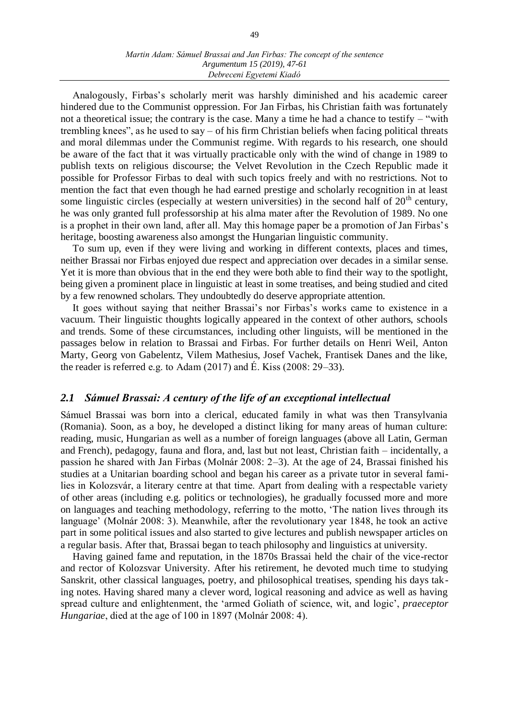Analogously, Firbas's scholarly merit was harshly diminished and his academic career hindered due to the Communist oppression. For Jan Firbas, his Christian faith was fortunately not a theoretical issue; the contrary is the case. Many a time he had a chance to testify – "with trembling knees", as he used to say – of his firm Christian beliefs when facing political threats and moral dilemmas under the Communist regime. With regards to his research, one should be aware of the fact that it was virtually practicable only with the wind of change in 1989 to publish texts on religious discourse; the Velvet Revolution in the Czech Republic made it possible for Professor Firbas to deal with such topics freely and with no restrictions. Not to mention the fact that even though he had earned prestige and scholarly recognition in at least some linguistic circles (especially at western universities) in the second half of  $20<sup>th</sup>$  century, he was only granted full professorship at his alma mater after the Revolution of 1989. No one is a prophet in their own land, after all. May this homage paper be a promotion of Jan Firbas's heritage, boosting awareness also amongst the Hungarian linguistic community.

To sum up, even if they were living and working in different contexts, places and times, neither Brassai nor Firbas enjoyed due respect and appreciation over decades in a similar sense. Yet it is more than obvious that in the end they were both able to find their way to the spotlight, being given a prominent place in linguistic at least in some treatises, and being studied and cited by a few renowned scholars. They undoubtedly do deserve appropriate attention.

It goes without saying that neither Brassai's nor Firbas's works came to existence in a vacuum. Their linguistic thoughts logically appeared in the context of other authors, schools and trends. Some of these circumstances, including other linguists, will be mentioned in the passages below in relation to Brassai and Firbas. For further details on Henri Weil, Anton Marty, Georg von Gabelentz, Vilem Mathesius, Josef Vachek, Frantisek Danes and the like, the reader is referred e.g. to Adam  $(2017)$  and É. Kiss  $(2008:29-33)$ .

#### *2.1 Sámuel Brassai: A century of the life of an exceptional intellectual*

Sámuel Brassai was born into a clerical, educated family in what was then Transylvania (Romania). Soon, as a boy, he developed a distinct liking for many areas of human culture: reading, music, Hungarian as well as a number of foreign languages (above all Latin, German and French), pedagogy, fauna and flora, and, last but not least, Christian faith – incidentally, a passion he shared with Jan Firbas (Molnár 2008: 2–3). At the age of 24, Brassai finished his studies at a Unitarian boarding school and began his career as a private tutor in several families in Kolozsvár, a literary centre at that time. Apart from dealing with a respectable variety of other areas (including e.g. politics or technologies), he gradually focussed more and more on languages and teaching methodology, referring to the motto, 'The nation lives through its language' (Molnár 2008: 3). Meanwhile, after the revolutionary year 1848, he took an active part in some political issues and also started to give lectures and publish newspaper articles on a regular basis. After that, Brassai began to teach philosophy and linguistics at university.

Having gained fame and reputation, in the 1870s Brassai held the chair of the vice-rector and rector of Kolozsvar University. After his retirement, he devoted much time to studying Sanskrit, other classical languages, poetry, and philosophical treatises, spending his days taking notes. Having shared many a clever word, logical reasoning and advice as well as having spread culture and enlightenment, the 'armed Goliath of science, wit, and logic', *praeceptor Hungariae*, died at the age of 100 in 1897 (Molnár 2008: 4).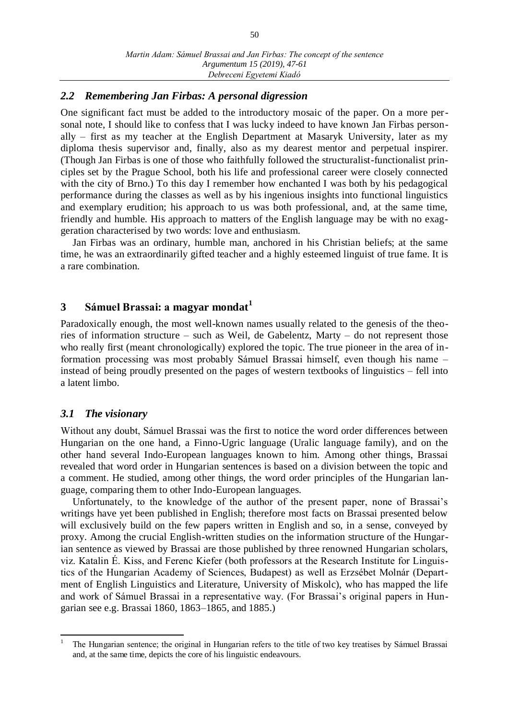#### *2.2 Remembering Jan Firbas: A personal digression*

One significant fact must be added to the introductory mosaic of the paper. On a more personal note, I should like to confess that I was lucky indeed to have known Jan Firbas personally – first as my teacher at the English Department at Masaryk University, later as my diploma thesis supervisor and, finally, also as my dearest mentor and perpetual inspirer. (Though Jan Firbas is one of those who faithfully followed the structuralist-functionalist principles set by the Prague School, both his life and professional career were closely connected with the city of Brno.) To this day I remember how enchanted I was both by his pedagogical performance during the classes as well as by his ingenious insights into functional linguistics and exemplary erudition; his approach to us was both professional, and, at the same time, friendly and humble. His approach to matters of the English language may be with no exaggeration characterised by two words: love and enthusiasm.

Jan Firbas was an ordinary, humble man, anchored in his Christian beliefs; at the same time, he was an extraordinarily gifted teacher and a highly esteemed linguist of true fame. It is a rare combination.

# **3 Sámuel Brassai: a magyar mondat<sup>1</sup>**

Paradoxically enough, the most well-known names usually related to the genesis of the theories of information structure – such as Weil, de Gabelentz, Marty – do not represent those who really first (meant chronologically) explored the topic. The true pioneer in the area of information processing was most probably Sámuel Brassai himself, even though his name – instead of being proudly presented on the pages of western textbooks of linguistics – fell into a latent limbo.

#### *3.1 The visionary*

Without any doubt, Sámuel Brassai was the first to notice the word order differences between Hungarian on the one hand, a Finno-Ugric language (Uralic language family), and on the other hand several Indo-European languages known to him. Among other things, Brassai revealed that word order in Hungarian sentences is based on a division between the topic and a comment. He studied, among other things, the word order principles of the Hungarian language, comparing them to other Indo-European languages.

Unfortunately, to the knowledge of the author of the present paper, none of Brassai's writings have yet been published in English; therefore most facts on Brassai presented below will exclusively build on the few papers written in English and so, in a sense, conveyed by proxy. Among the crucial English-written studies on the information structure of the Hungarian sentence as viewed by Brassai are those published by three renowned Hungarian scholars, viz. Katalin É. Kiss, and Ferenc Kiefer (both professors at the Research Institute for Linguistics of the Hungarian Academy of Sciences, Budapest) as well as Erzsébet Molnár (Department of English Linguistics and Literature, University of Miskolc), who has mapped the life and work of Sámuel Brassai in a representative way. (For Brassai's original papers in Hungarian see e.g. Brassai 1860, 1863–1865, and 1885.)

 $\overline{a}$ 1 The Hungarian sentence; the original in Hungarian refers to the title of two key treatises by Sámuel Brassai and, at the same time, depicts the core of his linguistic endeavours.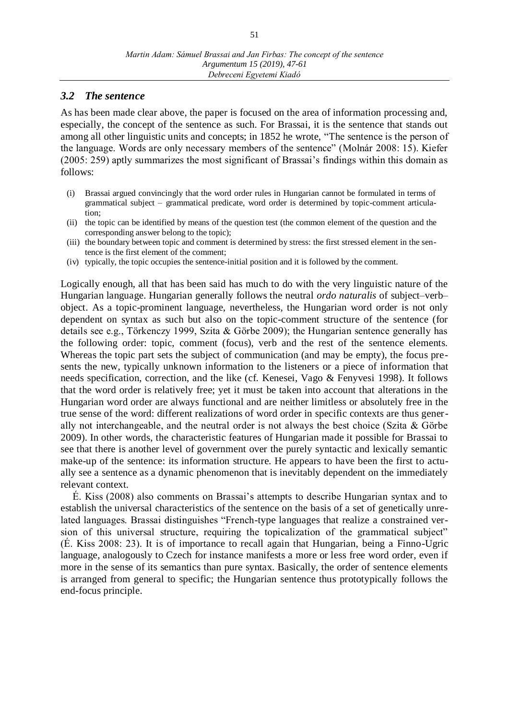#### *3.2 The sentence*

As has been made clear above, the paper is focused on the area of information processing and, especially, the concept of the sentence as such. For Brassai, it is the sentence that stands out among all other linguistic units and concepts; in 1852 he wrote, "The sentence is the person of the language. Words are only necessary members of the sentence" (Molnár 2008: 15). Kiefer (2005: 259) aptly summarizes the most significant of Brassai's findings within this domain as follows:

- (i) Brassai argued convincingly that the word order rules in Hungarian cannot be formulated in terms of grammatical subject – grammatical predicate, word order is determined by topic-comment articulation;
- (ii) the topic can be identified by means of the question test (the common element of the question and the corresponding answer belong to the topic);
- (iii) the boundary between topic and comment is determined by stress: the first stressed element in the sentence is the first element of the comment;
- (iv) typically, the topic occupies the sentence-initial position and it is followed by the comment.

Logically enough, all that has been said has much to do with the very linguistic nature of the Hungarian language. Hungarian generally follows the neutral *ordo naturalis* of subject–verb– object. As a topic-prominent language, nevertheless, the Hungarian word order is not only dependent on syntax as such but also on the topic-comment structure of the sentence (for details see e.g., Törkenczy 1999, Szita & Görbe 2009); the Hungarian sentence generally has the following order: topic, comment (focus), verb and the rest of the sentence elements. Whereas the topic part sets the subject of communication (and may be empty), the focus presents the new, typically unknown information to the listeners or a piece of information that needs specification, correction, and the like (cf. Kenesei, Vago & Fenyvesi 1998). It follows that the word order is relatively free; yet it must be taken into account that alterations in the Hungarian word order are always functional and are neither limitless or absolutely free in the true sense of the word: different realizations of word order in specific contexts are thus generally not interchangeable, and the neutral order is not always the best choice (Szita & Görbe 2009). In other words, the characteristic features of Hungarian made it possible for Brassai to see that there is another level of government over the purely syntactic and lexically semantic make-up of the sentence: its information structure. He appears to have been the first to actually see a sentence as a dynamic phenomenon that is inevitably dependent on the immediately relevant context.

É. Kiss (2008) also comments on Brassai's attempts to describe Hungarian syntax and to establish the universal characteristics of the sentence on the basis of a set of genetically unrelated languages. Brassai distinguishes "French-type languages that realize a constrained version of this universal structure, requiring the topicalization of the grammatical subject" (É. Kiss 2008: 23). It is of importance to recall again that Hungarian, being a Finno-Ugric language, analogously to Czech for instance manifests a more or less free word order, even if more in the sense of its semantics than pure syntax. Basically, the order of sentence elements is arranged from general to specific; the Hungarian sentence thus prototypically follows the end-focus principle.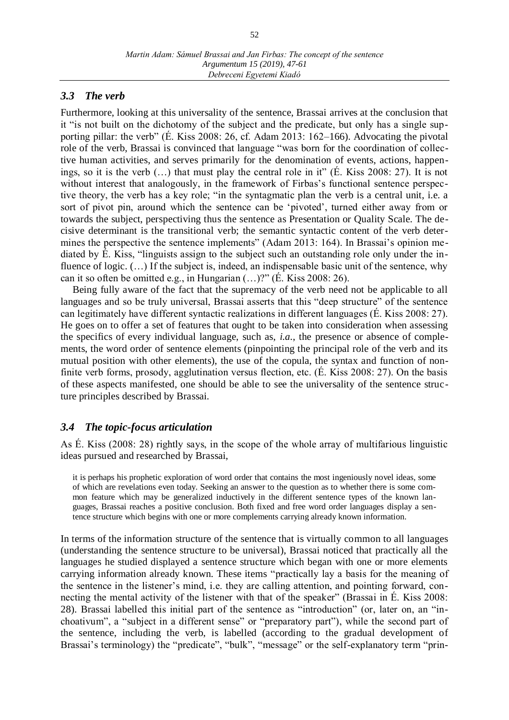#### *3.3 The verb*

Furthermore, looking at this universality of the sentence, Brassai arrives at the conclusion that it "is not built on the dichotomy of the subject and the predicate, but only has a single supporting pillar: the verb" (É. Kiss 2008: 26, cf. Adam 2013:  $162-166$ ). Advocating the pivotal role of the verb, Brassai is convinced that language "was born for the coordination of collective human activities, and serves primarily for the denomination of events, actions, happenings, so it is the verb (…) that must play the central role in it" (É. Kiss 2008: 27). It is not without interest that analogously, in the framework of Firbas's functional sentence perspective theory, the verb has a key role; "in the syntagmatic plan the verb is a central unit, i.e. a sort of pivot pin, around which the sentence can be 'pivoted', turned either away from or towards the subject, perspectiving thus the sentence as Presentation or Quality Scale. The decisive determinant is the transitional verb; the semantic syntactic content of the verb determines the perspective the sentence implements" (Adam 2013: 164). In Brassai's opinion mediated by É. Kiss, "linguists assign to the subject such an outstanding role only under the influence of logic.  $(...)$  If the subject is, indeed, an indispensable basic unit of the sentence, why can it so often be omitted e.g., in Hungarian (…)?" (É. Kiss 2008: 26).

Being fully aware of the fact that the supremacy of the verb need not be applicable to all languages and so be truly universal, Brassai asserts that this "deep structure" of the sentence can legitimately have different syntactic realizations in different languages (É. Kiss 2008: 27). He goes on to offer a set of features that ought to be taken into consideration when assessing the specifics of every individual language, such as, *i.a.*, the presence or absence of complements, the word order of sentence elements (pinpointing the principal role of the verb and its mutual position with other elements), the use of the copula, the syntax and function of nonfinite verb forms, prosody, agglutination versus flection, etc. (É. Kiss 2008: 27). On the basis of these aspects manifested, one should be able to see the universality of the sentence structure principles described by Brassai.

## *3.4 The topic-focus articulation*

As É. Kiss (2008: 28) rightly says, in the scope of the whole array of multifarious linguistic ideas pursued and researched by Brassai,

it is perhaps his prophetic exploration of word order that contains the most ingeniously novel ideas, some of which are revelations even today. Seeking an answer to the question as to whether there is some common feature which may be generalized inductively in the different sentence types of the known languages, Brassai reaches a positive conclusion. Both fixed and free word order languages display a sentence structure which begins with one or more complements carrying already known information.

In terms of the information structure of the sentence that is virtually common to all languages (understanding the sentence structure to be universal), Brassai noticed that practically all the languages he studied displayed a sentence structure which began with one or more elements carrying information already known. These items "practically lay a basis for the meaning of the sentence in the listener's mind, i.e. they are calling attention, and pointing forward, connecting the mental activity of the listener with that of the speaker" (Brassai in É. Kiss 2008: 28). Brassai labelled this initial part of the sentence as "introduction" (or, later on, an "inchoativum", a "subject in a different sense" or "preparatory part"), while the second part of the sentence, including the verb, is labelled (according to the gradual development of Brassai's terminology) the "predicate", "bulk", "message" or the self-explanatory term "prin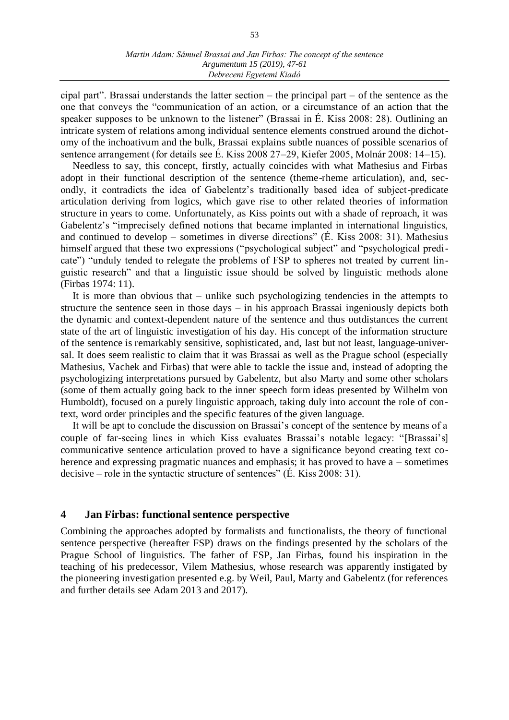cipal part". Brassai understands the latter section – the principal part – of the sentence as the one that conveys the "communication of an action, or a circumstance of an action that the speaker supposes to be unknown to the listener" (Brassai in É. Kiss 2008: 28). Outlining an intricate system of relations among individual sentence elements construed around the dichotomy of the inchoativum and the bulk, Brassai explains subtle nuances of possible scenarios of sentence arrangement (for details see É. Kiss 2008 27–29, Kiefer 2005, Molnár 2008: 14–15).

Needless to say, this concept, firstly, actually coincides with what Mathesius and Firbas adopt in their functional description of the sentence (theme-rheme articulation), and, secondly, it contradicts the idea of Gabelentz's traditionally based idea of subject-predicate articulation deriving from logics, which gave rise to other related theories of information structure in years to come. Unfortunately, as Kiss points out with a shade of reproach, it was Gabelentz's "imprecisely defined notions that became implanted in international linguistics, and continued to develop – sometimes in diverse directions" ( $\acute{E}$ . Kiss 2008: 31). Mathesius himself argued that these two expressions ("psychological subject" and "psychological predicate") "unduly tended to relegate the problems of FSP to spheres not treated by current linguistic research" and that a linguistic issue should be solved by linguistic methods alone (Firbas 1974: 11).

It is more than obvious that – unlike such psychologizing tendencies in the attempts to structure the sentence seen in those days – in his approach Brassai ingeniously depicts both the dynamic and context-dependent nature of the sentence and thus outdistances the current state of the art of linguistic investigation of his day. His concept of the information structure of the sentence is remarkably sensitive, sophisticated, and, last but not least, language-universal. It does seem realistic to claim that it was Brassai as well as the Prague school (especially Mathesius, Vachek and Firbas) that were able to tackle the issue and, instead of adopting the psychologizing interpretations pursued by Gabelentz, but also Marty and some other scholars (some of them actually going back to the inner speech form ideas presented by Wilhelm von Humboldt), focused on a purely linguistic approach, taking duly into account the role of context, word order principles and the specific features of the given language.

It will be apt to conclude the discussion on Brassai's concept of the sentence by means of a couple of far-seeing lines in which Kiss evaluates Brassai's notable legacy: "[Brassai's] communicative sentence articulation proved to have a significance beyond creating text coherence and expressing pragmatic nuances and emphasis; it has proved to have a – sometimes decisive – role in the syntactic structure of sentences" (É. Kiss 2008: 31).

#### **4 Jan Firbas: functional sentence perspective**

Combining the approaches adopted by formalists and functionalists, the theory of functional sentence perspective (hereafter FSP) draws on the findings presented by the scholars of the Prague School of linguistics. The father of FSP, Jan Firbas, found his inspiration in the teaching of his predecessor, Vilem Mathesius, whose research was apparently instigated by the pioneering investigation presented e.g. by Weil, Paul, Marty and Gabelentz (for references and further details see Adam 2013 and 2017).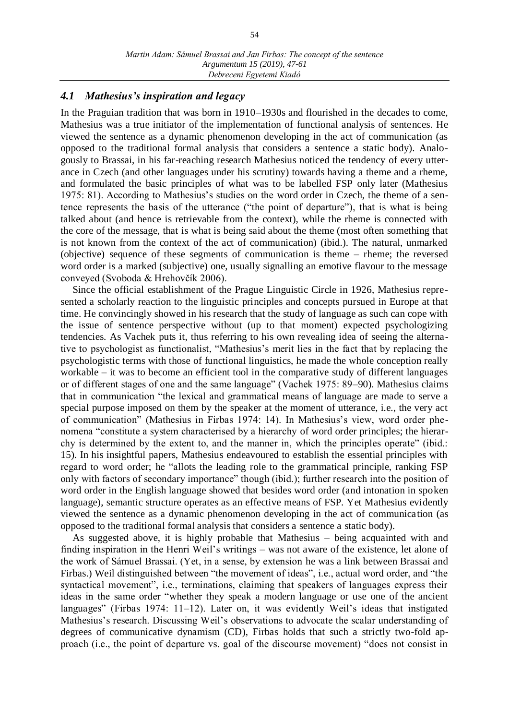#### *4.1 Mathesius's inspiration and legacy*

In the Praguian tradition that was born in 1910–1930s and flourished in the decades to come, Mathesius was a true initiator of the implementation of functional analysis of sentences. He viewed the sentence as a dynamic phenomenon developing in the act of communication (as opposed to the traditional formal analysis that considers a sentence a static body). Analogously to Brassai, in his far-reaching research Mathesius noticed the tendency of every utterance in Czech (and other languages under his scrutiny) towards having a theme and a rheme, and formulated the basic principles of what was to be labelled FSP only later (Mathesius 1975: 81). According to Mathesius's studies on the word order in Czech, the theme of a sentence represents the basis of the utterance ("the point of departure"), that is what is being talked about (and hence is retrievable from the context), while the rheme is connected with the core of the message, that is what is being said about the theme (most often something that is not known from the context of the act of communication) (ibid.). The natural, unmarked (objective) sequence of these segments of communication is theme – rheme; the reversed word order is a marked (subjective) one, usually signalling an emotive flavour to the message conveyed (Svoboda & Hrehovčík 2006).

Since the official establishment of the Prague Linguistic Circle in 1926, Mathesius represented a scholarly reaction to the linguistic principles and concepts pursued in Europe at that time. He convincingly showed in his research that the study of language as such can cope with the issue of sentence perspective without (up to that moment) expected psychologizing tendencies. As Vachek puts it, thus referring to his own revealing idea of seeing the alternative to psychologist as functionalist, "Mathesius's merit lies in the fact that by replacing the psychologistic terms with those of functional linguistics, he made the whole conception really workable – it was to become an efficient tool in the comparative study of different languages or of different stages of one and the same language" (Vachek 1975: 89–90). Mathesius claims that in communication "the lexical and grammatical means of language are made to serve a special purpose imposed on them by the speaker at the moment of utterance, i.e., the very act of communication" (Mathesius in Firbas 1974: 14). In Mathesius's view, word order phenomena "constitute a system characterised by a hierarchy of word order principles; the hierarchy is determined by the extent to, and the manner in, which the principles operate" (ibid.: 15). In his insightful papers, Mathesius endeavoured to establish the essential principles with regard to word order; he "allots the leading role to the grammatical principle, ranking FSP only with factors of secondary importance" though (ibid.); further research into the position of word order in the English language showed that besides word order (and intonation in spoken language), semantic structure operates as an effective means of FSP. Yet Mathesius evidently viewed the sentence as a dynamic phenomenon developing in the act of communication (as opposed to the traditional formal analysis that considers a sentence a static body).

As suggested above, it is highly probable that Mathesius – being acquainted with and finding inspiration in the Henri Weil's writings – was not aware of the existence, let alone of the work of Sámuel Brassai. (Yet, in a sense, by extension he was a link between Brassai and Firbas.) Weil distinguished between "the movement of ideas", i.e., actual word order, and "the syntactical movement", i.e., terminations, claiming that speakers of languages express their ideas in the same order "whether they speak a modern language or use one of the ancient languages" (Firbas 1974: 11–12). Later on, it was evidently Weil's ideas that instigated Mathesius's research. Discussing Weil's observations to advocate the scalar understanding of degrees of communicative dynamism (CD), Firbas holds that such a strictly two-fold approach (i.e., the point of departure vs. goal of the discourse movement) "does not consist in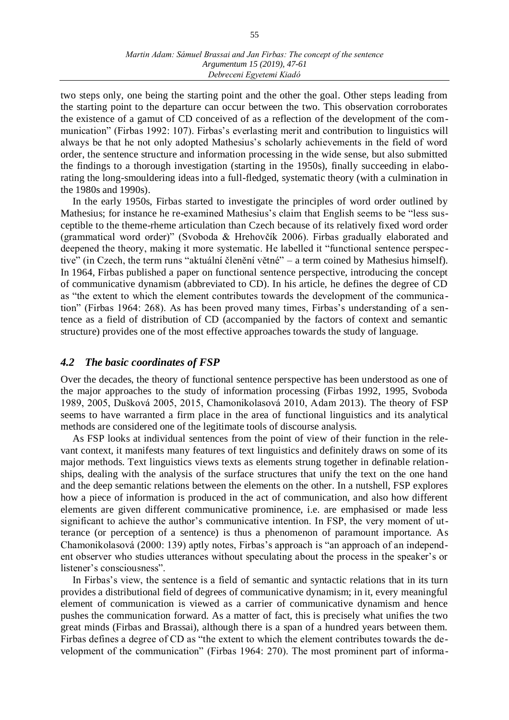two steps only, one being the starting point and the other the goal. Other steps leading from the starting point to the departure can occur between the two. This observation corroborates the existence of a gamut of CD conceived of as a reflection of the development of the communication" (Firbas 1992: 107). Firbas's everlasting merit and contribution to linguistics will always be that he not only adopted Mathesius's scholarly achievements in the field of word order, the sentence structure and information processing in the wide sense, but also submitted the findings to a thorough investigation (starting in the 1950s), finally succeeding in elaborating the long-smouldering ideas into a full-fledged, systematic theory (with a culmination in the 1980s and 1990s).

In the early 1950s, Firbas started to investigate the principles of word order outlined by Mathesius; for instance he re-examined Mathesius's claim that English seems to be "less susceptible to the theme-rheme articulation than Czech because of its relatively fixed word order (grammatical word order)" (Svoboda & Hrehovčík 2006). Firbas gradually elaborated and deepened the theory, making it more systematic. He labelled it "functional sentence perspective" (in Czech, the term runs "aktuální členění větné" – a term coined by Mathesius himself). In 1964, Firbas published a paper on functional sentence perspective, introducing the concept of communicative dynamism (abbreviated to CD). In his article, he defines the degree of CD as "the extent to which the element contributes towards the development of the communication" (Firbas 1964: 268). As has been proved many times, Firbas's understanding of a sentence as a field of distribution of CD (accompanied by the factors of context and semantic structure) provides one of the most effective approaches towards the study of language.

### *4.2 The basic coordinates of FSP*

Over the decades, the theory of functional sentence perspective has been understood as one of the major approaches to the study of information processing (Firbas 1992, 1995, Svoboda 1989, 2005, Dušková 2005, 2015, Chamonikolasová 2010, Adam 2013). The theory of FSP seems to have warranted a firm place in the area of functional linguistics and its analytical methods are considered one of the legitimate tools of discourse analysis.

As FSP looks at individual sentences from the point of view of their function in the relevant context, it manifests many features of text linguistics and definitely draws on some of its major methods. Text linguistics views texts as elements strung together in definable relationships, dealing with the analysis of the surface structures that unify the text on the one hand and the deep semantic relations between the elements on the other. In a nutshell, FSP explores how a piece of information is produced in the act of communication, and also how different elements are given different communicative prominence, i.e. are emphasised or made less significant to achieve the author's communicative intention. In FSP, the very moment of utterance (or perception of a sentence) is thus a phenomenon of paramount importance. As Chamonikolasová (2000: 139) aptly notes, Firbas's approach is "an approach of an independent observer who studies utterances without speculating about the process in the speaker's or listener's consciousness".

In Firbas's view, the sentence is a field of semantic and syntactic relations that in its turn provides a distributional field of degrees of communicative dynamism; in it, every meaningful element of communication is viewed as a carrier of communicative dynamism and hence pushes the communication forward. As a matter of fact, this is precisely what unifies the two great minds (Firbas and Brassai), although there is a span of a hundred years between them. Firbas defines a degree of CD as "the extent to which the element contributes towards the development of the communication" (Firbas 1964: 270). The most prominent part of informa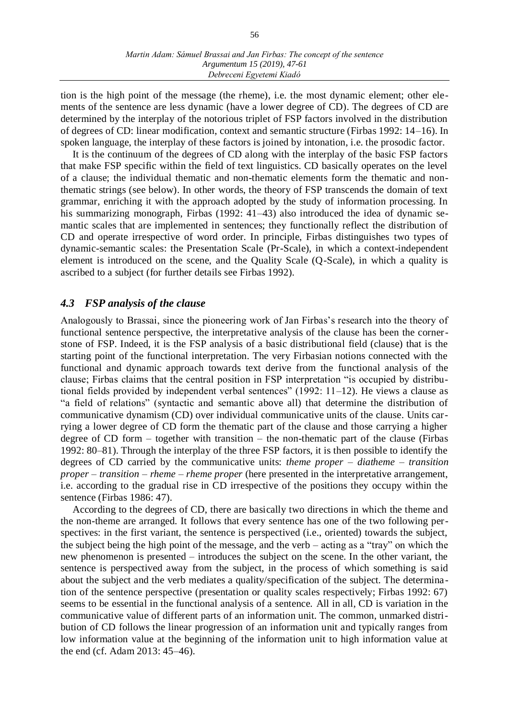tion is the high point of the message (the rheme), i.e. the most dynamic element; other elements of the sentence are less dynamic (have a lower degree of CD). The degrees of CD are determined by the interplay of the notorious triplet of FSP factors involved in the distribution of degrees of CD: linear modification, context and semantic structure (Firbas 1992: 14–16). In spoken language, the interplay of these factors is joined by intonation, i.e. the prosodic factor.

It is the continuum of the degrees of CD along with the interplay of the basic FSP factors that make FSP specific within the field of text linguistics. CD basically operates on the level of a clause; the individual thematic and non-thematic elements form the thematic and nonthematic strings (see below). In other words, the theory of FSP transcends the domain of text grammar, enriching it with the approach adopted by the study of information processing. In his summarizing monograph, Firbas (1992: 41–43) also introduced the idea of dynamic semantic scales that are implemented in sentences; they functionally reflect the distribution of CD and operate irrespective of word order. In principle, Firbas distinguishes two types of dynamic-semantic scales: the Presentation Scale (Pr-Scale), in which a context-independent element is introduced on the scene, and the Quality Scale (Q-Scale), in which a quality is ascribed to a subject (for further details see Firbas 1992).

## *4.3 FSP analysis of the clause*

Analogously to Brassai, since the pioneering work of Jan Firbas's research into the theory of functional sentence perspective, the interpretative analysis of the clause has been the cornerstone of FSP. Indeed, it is the FSP analysis of a basic distributional field (clause) that is the starting point of the functional interpretation. The very Firbasian notions connected with the functional and dynamic approach towards text derive from the functional analysis of the clause; Firbas claims that the central position in FSP interpretation "is occupied by distributional fields provided by independent verbal sentences" (1992: 11–12). He views a clause as "a field of relations" (syntactic and semantic above all) that determine the distribution of communicative dynamism (CD) over individual communicative units of the clause. Units carrying a lower degree of CD form the thematic part of the clause and those carrying a higher degree of CD form – together with transition – the non-thematic part of the clause (Firbas 1992: 80–81). Through the interplay of the three FSP factors, it is then possible to identify the degrees of CD carried by the communicative units: *theme proper – diatheme – transition proper – transition – rheme – rheme proper* (here presented in the interpretative arrangement, i.e. according to the gradual rise in CD irrespective of the positions they occupy within the sentence (Firbas 1986: 47).

According to the degrees of CD, there are basically two directions in which the theme and the non-theme are arranged. It follows that every sentence has one of the two following perspectives: in the first variant, the sentence is perspectived (i.e., oriented) towards the subject, the subject being the high point of the message, and the verb – acting as a "tray" on which the new phenomenon is presented – introduces the subject on the scene. In the other variant, the sentence is perspectived away from the subject, in the process of which something is said about the subject and the verb mediates a quality/specification of the subject. The determina tion of the sentence perspective (presentation or quality scales respectively; Firbas 1992: 67) seems to be essential in the functional analysis of a sentence. All in all, CD is variation in the communicative value of different parts of an information unit. The common, unmarked distribution of CD follows the linear progression of an information unit and typically ranges from low information value at the beginning of the information unit to high information value at the end (cf. Adam 2013: 45–46).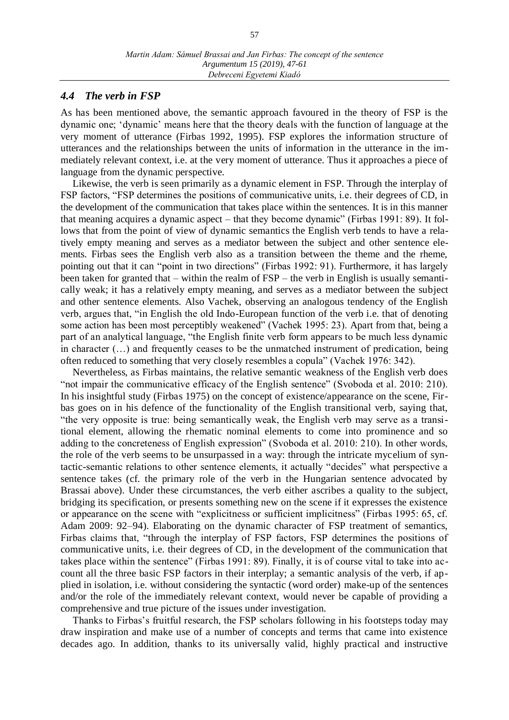#### *4.4 The verb in FSP*

As has been mentioned above, the semantic approach favoured in the theory of FSP is the dynamic one; 'dynamic' means here that the theory deals with the function of language at the very moment of utterance (Firbas 1992, 1995). FSP explores the information structure of utterances and the relationships between the units of information in the utterance in the immediately relevant context, i.e. at the very moment of utterance. Thus it approaches a piece of language from the dynamic perspective.

Likewise, the verb is seen primarily as a dynamic element in FSP. Through the interplay of FSP factors, "FSP determines the positions of communicative units, i.e. their degrees of CD, in the development of the communication that takes place within the sentences. It is in this manner that meaning acquires a dynamic aspect – that they become dynamic" (Firbas 1991: 89). It follows that from the point of view of dynamic semantics the English verb tends to have a relatively empty meaning and serves as a mediator between the subject and other sentence elements. Firbas sees the English verb also as a transition between the theme and the rheme, pointing out that it can "point in two directions" (Firbas 1992: 91). Furthermore, it has largely been taken for granted that – within the realm of FSP – the verb in English is usually semantically weak; it has a relatively empty meaning, and serves as a mediator between the subject and other sentence elements. Also Vachek, observing an analogous tendency of the English verb, argues that, "in English the old Indo-European function of the verb i.e. that of denoting some action has been most perceptibly weakened" (Vachek 1995: 23). Apart from that, being a part of an analytical language, "the English finite verb form appears to be much less dynamic in character (…) and frequently ceases to be the unmatched instrument of predication, being often reduced to something that very closely resembles a copula" (Vachek 1976: 342).

Nevertheless, as Firbas maintains, the relative semantic weakness of the English verb does "not impair the communicative efficacy of the English sentence" (Svoboda et al. 2010: 210). In his insightful study (Firbas 1975) on the concept of existence/appearance on the scene, Firbas goes on in his defence of the functionality of the English transitional verb, saying that, "the very opposite is true: being semantically weak, the English verb may serve as a transitional element, allowing the rhematic nominal elements to come into prominence and so adding to the concreteness of English expression" (Svoboda et al. 2010: 210). In other words, the role of the verb seems to be unsurpassed in a way: through the intricate mycelium of syntactic-semantic relations to other sentence elements, it actually "decides" what perspective a sentence takes (cf. the primary role of the verb in the Hungarian sentence advocated by Brassai above). Under these circumstances, the verb either ascribes a quality to the subject, bridging its specification, or presents something new on the scene if it expresses the existence or appearance on the scene with "explicitness or sufficient implicitness" (Firbas 1995: 65, cf. Adam 2009: 92–94). Elaborating on the dynamic character of FSP treatment of semantics, Firbas claims that, "through the interplay of FSP factors, FSP determines the positions of communicative units, i.e. their degrees of CD, in the development of the communication that takes place within the sentence" (Firbas 1991: 89). Finally, it is of course vital to take into account all the three basic FSP factors in their interplay; a semantic analysis of the verb, if applied in isolation, i.e. without considering the syntactic (word order) make-up of the sentences and/or the role of the immediately relevant context, would never be capable of providing a comprehensive and true picture of the issues under investigation.

Thanks to Firbas's fruitful research, the FSP scholars following in his footsteps today may draw inspiration and make use of a number of concepts and terms that came into existence decades ago. In addition, thanks to its universally valid, highly practical and instructive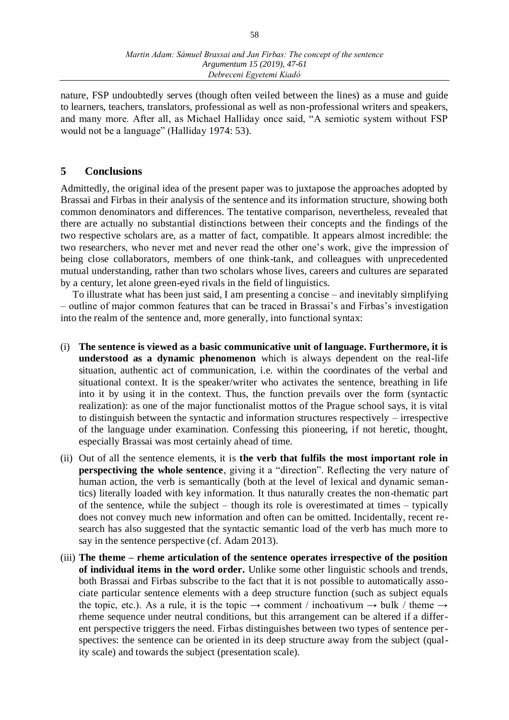nature, FSP undoubtedly serves (though often veiled between the lines) as a muse and guide to learners, teachers, translators, professional as well as non-professional writers and speakers, and many more. After all, as Michael Halliday once said, "A semiotic system without FSP would not be a language" (Halliday 1974: 53).

## **5 Conclusions**

Admittedly, the original idea of the present paper was to juxtapose the approaches adopted by Brassai and Firbas in their analysis of the sentence and its information structure, showing both common denominators and differences. The tentative comparison, nevertheless, revealed that there are actually no substantial distinctions between their concepts and the findings of the two respective scholars are, as a matter of fact, compatible. It appears almost incredible: the two researchers, who never met and never read the other one's work, give the impression of being close collaborators, members of one think-tank, and colleagues with unprecedented mutual understanding, rather than two scholars whose lives, careers and cultures are separated by a century, let alone green-eyed rivals in the field of linguistics.

To illustrate what has been just said, I am presenting a concise – and inevitably simplifying – outline of major common features that can be traced in Brassai's and Firbas's investigation into the realm of the sentence and, more generally, into functional syntax:

- (i) **The sentence is viewed as a basic communicative unit of language. Furthermore, it is understood as a dynamic phenomenon** which is always dependent on the real-life situation, authentic act of communication, i.e. within the coordinates of the verbal and situational context. It is the speaker/writer who activates the sentence, breathing in life into it by using it in the context. Thus, the function prevails over the form (syntactic realization): as one of the major functionalist mottos of the Prague school says, it is vital to distinguish between the syntactic and information structures respectively – irrespective of the language under examination. Confessing this pioneering, if not heretic, thought, especially Brassai was most certainly ahead of time.
- (ii) Out of all the sentence elements, it is **the verb that fulfils the most important role in perspectiving the whole sentence**, giving it a "direction". Reflecting the very nature of human action, the verb is semantically (both at the level of lexical and dynamic semantics) literally loaded with key information. It thus naturally creates the non-thematic part of the sentence, while the subject – though its role is overestimated at times – typically does not convey much new information and often can be omitted. Incidentally, recent research has also suggested that the syntactic semantic load of the verb has much more to say in the sentence perspective (cf. Adam 2013).
- (iii) **The theme – rheme articulation of the sentence operates irrespective of the position of individual items in the word order.** Unlike some other linguistic schools and trends, both Brassai and Firbas subscribe to the fact that it is not possible to automatically associate particular sentence elements with a deep structure function (such as subject equals the topic, etc.). As a rule, it is the topic  $\rightarrow$  comment / inchoativum  $\rightarrow$  bulk / theme  $\rightarrow$ rheme sequence under neutral conditions, but this arrangement can be altered if a different perspective triggers the need. Firbas distinguishes between two types of sentence perspectives: the sentence can be oriented in its deep structure away from the subject (quality scale) and towards the subject (presentation scale).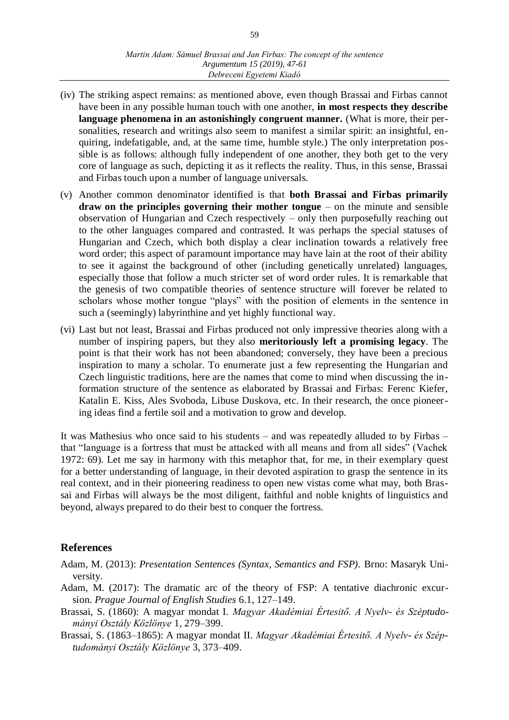- (iv) The striking aspect remains: as mentioned above, even though Brassai and Firbas cannot have been in any possible human touch with one another, **in most respects they describe language phenomena in an astonishingly congruent manner.** (What is more, their personalities, research and writings also seem to manifest a similar spirit: an insightful, enquiring, indefatigable, and, at the same time, humble style.) The only interpretation possible is as follows: although fully independent of one another, they both get to the very core of language as such, depicting it as it reflects the reality. Thus, in this sense, Brassai and Firbas touch upon a number of language universals.
- (v) Another common denominator identified is that **both Brassai and Firbas primarily draw on the principles governing their mother tongue** – on the minute and sensible observation of Hungarian and Czech respectively – only then purposefully reaching out to the other languages compared and contrasted. It was perhaps the special statuses of Hungarian and Czech, which both display a clear inclination towards a relatively free word order; this aspect of paramount importance may have lain at the root of their ability to see it against the background of other (including genetically unrelated) languages, especially those that follow a much stricter set of word order rules. It is remarkable that the genesis of two compatible theories of sentence structure will forever be related to scholars whose mother tongue "plays" with the position of elements in the sentence in such a (seemingly) labyrinthine and yet highly functional way.
- (vi) Last but not least, Brassai and Firbas produced not only impressive theories along with a number of inspiring papers, but they also **meritoriously left a promising legacy**. The point is that their work has not been abandoned; conversely, they have been a precious inspiration to many a scholar. To enumerate just a few representing the Hungarian and Czech linguistic traditions, here are the names that come to mind when discussing the information structure of the sentence as elaborated by Brassai and Firbas: Ferenc Kiefer, Katalin E. Kiss, Ales Svoboda, Libuse Duskova, etc. In their research, the once pioneering ideas find a fertile soil and a motivation to grow and develop.

It was Mathesius who once said to his students – and was repeatedly alluded to by Firbas – that "language is a fortress that must be attacked with all means and from all sides" (Vachek 1972: 69). Let me say in harmony with this metaphor that, for me, in their exemplary quest for a better understanding of language, in their devoted aspiration to grasp the sentence in its real context, and in their pioneering readiness to open new vistas come what may, both Brassai and Firbas will always be the most diligent, faithful and noble knights of linguistics and beyond, always prepared to do their best to conquer the fortress.

# **References**

- Adam, M. (2013): *Presentation Sentences (Syntax, Semantics and FSP).* Brno: Masaryk University.
- Adam, M. (2017): The dramatic arc of the theory of FSP: A tentative diachronic excursion. *Prague Journal of English Studies* 6.1, 127–149.
- Brassai, S. (1860): A magyar mondat I. *Magyar Akadémiai Értesitő. A Nyelv- és Széptudományi Osztály Közlönye* 1, 279–399.
- Brassai, S. (1863–1865): A magyar mondat II. *Magyar Akadémiai Értesitő. A Nyelv- és Széptudományi Osztály Közlönye* 3, 373–409.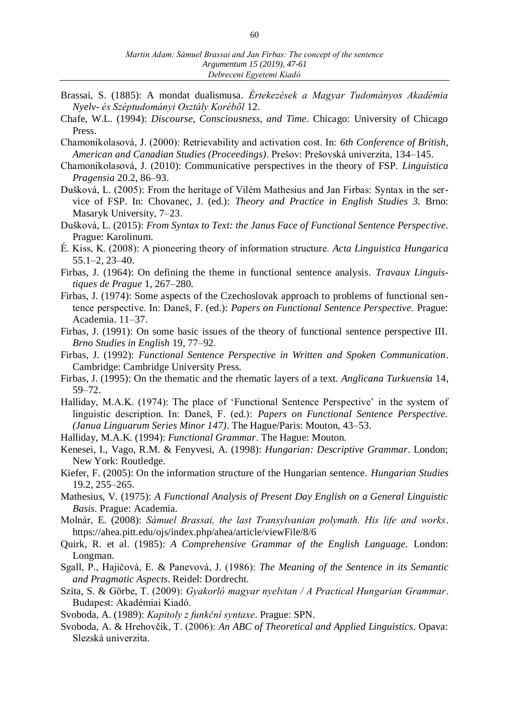- Brassai, S. (1885): A mondat dualismusa. *Értekezések a Magyar Tudományos Akadémia Nyelv- és Széptudományi Osztály Koréből* 12.
- Chafe, W.L. (1994): *Discourse, Consciousness, and Time*. Chicago: University of Chicago Press.
- Chamonikolasová, J. (2000): Retrievability and activation cost. In: *6th Conference of British, American and Canadian Studies (Proceedings)*. Prešov: Prešovská univerzita, 134–145.
- Chamonikolasová, J. (2010): Communicative perspectives in the theory of FSP. *Linguistica Pragensia* 20.2, 86–93.
- Dušková, L. (2005): From the heritage of Vilém Mathesius and Jan Firbas: Syntax in the service of FSP. In: Chovanec, J. (ed.): *Theory and Practice in English Studies 3.* Brno: Masaryk University, 7–23.
- Dušková, L. (2015): *From Syntax to Text: the Janus Face of Functional Sentence Perspective*. Prague: Karolinum.
- É. Kiss, K. (2008): A pioneering theory of information structure. *Acta Linguistica Hungarica*  55.1–2, 23–40.
- Firbas, J. (1964): On defining the theme in functional sentence analysis. *Travaux Linguistiques de Prague* 1, 267–280*.*
- Firbas, J. (1974): Some aspects of the Czechoslovak approach to problems of functional sentence perspective. In: Daneš, F. (ed.): *Papers on Functional Sentence Perspective.* Prague: Academia. 11–37.
- Firbas, J. (1991): On some basic issues of the theory of functional sentence perspective III. *Brno Studies in English* 19, 77–92.
- Firbas, J. (1992): *Functional Sentence Perspective in Written and Spoken Communication*. Cambridge: Cambridge University Press.
- Firbas, J. (1995): On the thematic and the rhematic layers of a text. *Anglicana Turkuensia* 14, 59–72.
- Halliday, M.A.K. (1974): The place of 'Functional Sentence Perspective' in the system of linguistic description. In: Daneš, F. (ed.): *Papers on Functional Sentence Perspective. (Janua Linguarum Series Minor 147)*. The Hague/Paris: Mouton, 43–53.
- Halliday, M.A.K. (1994): *Functional Grammar*. The Hague: Mouton.
- Kenesei, I., Vago, R.M. & Fenyvesi, A. (1998): *Hungarian: Descriptive Grammar*. London; New York: Routledge.
- Kiefer, F. (2005): On the information structure of the Hungarian sentence. *Hungarian Studies* 19.2, 255–265.
- Mathesius, V. (1975): *A Functional Analysis of Present Day English on a General Linguistic Basis.* Prague: Academia.
- Molnár, E. (2008): *Sámuel Brassai, the last Transylvanian polymath. His life and works*. <https://ahea.pitt.edu/ojs/index.php/ahea/article/viewFile/8/6>
- Quirk, R. et al. (1985): *A Comprehensive Grammar of the English Language.* London: Longman.
- Sgall, P., Hajičová, E. & Panevová, J. (1986): *The Meaning of the Sentence in its Semantic and Pragmatic Aspects*. Reidel: Dordrecht.
- Szita, S. & Görbe, T. (2009): *Gyakorló magyar nyelvtan / A Practical Hungarian Grammar*. Budapest: Akadémiai Kiadó.
- Svoboda, A. (1989): *Kapitoly z funkční syntaxe.* Prague: SPN.
- Svoboda, A. & Hrehovčík, T. (2006): *An ABC of Theoretical and Applied Linguistics*. Opava: Slezská univerzita.